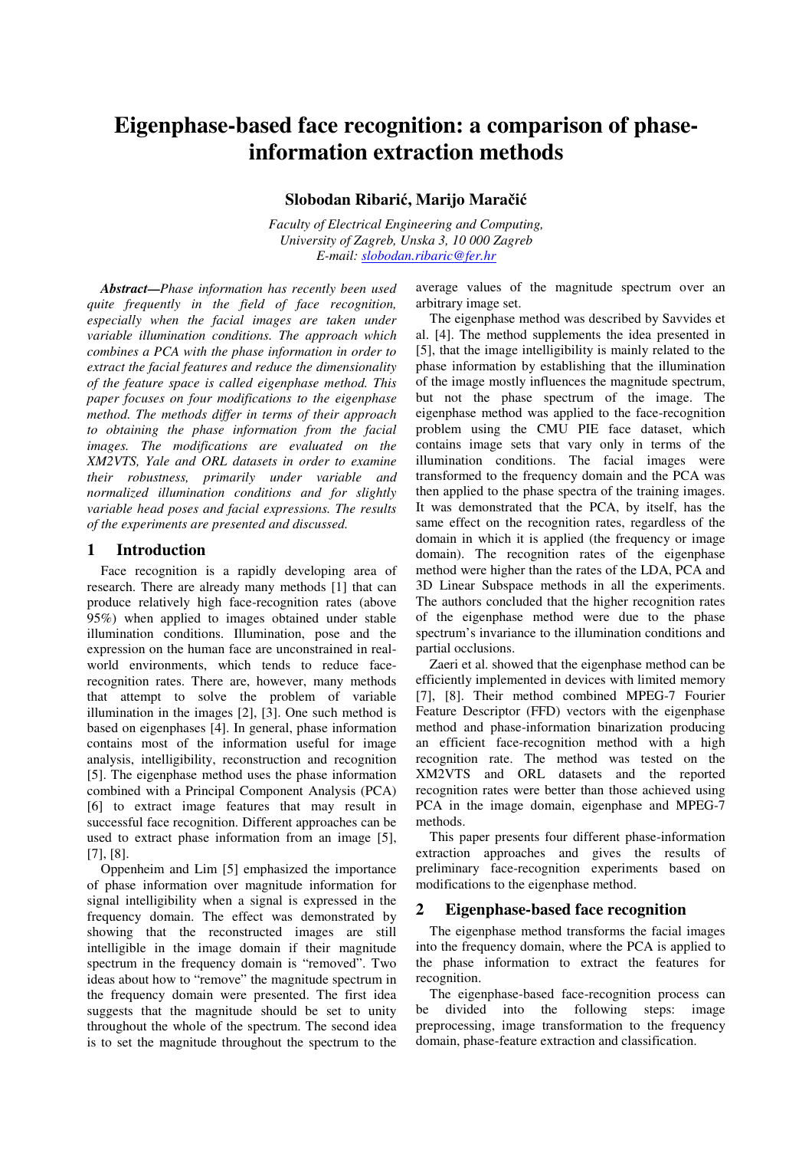# **Eigenphase-based face recognition: a comparison of phaseinformation extraction methods**

# **Slobodan Ribari**ć**, Marijo Mara**č**i**ć

*Faculty of Electrical Engineering and Computing, University of Zagreb, Unska 3, 10 000 Zagreb E-mail: slobodan.ribaric@fer.hr*

*Abstract***—***Phase information has recently been used quite frequently in the field of face recognition, especially when the facial images are taken under variable illumination conditions. The approach which combines a PCA with the phase information in order to extract the facial features and reduce the dimensionality of the feature space is called eigenphase method. This paper focuses on four modifications to the eigenphase method. The methods differ in terms of their approach to obtaining the phase information from the facial images. The modifications are evaluated on the XM2VTS, Yale and ORL datasets in order to examine their robustness, primarily under variable and normalized illumination conditions and for slightly variable head poses and facial expressions. The results of the experiments are presented and discussed.*

## **1 Introduction**

Face recognition is a rapidly developing area of research. There are already many methods [1] that can produce relatively high face-recognition rates (above 95%) when applied to images obtained under stable illumination conditions. Illumination, pose and the expression on the human face are unconstrained in realworld environments, which tends to reduce facerecognition rates. There are, however, many methods that attempt to solve the problem of variable illumination in the images [2], [3]. One such method is based on eigenphases [4]. In general, phase information contains most of the information useful for image analysis, intelligibility, reconstruction and recognition [5]. The eigenphase method uses the phase information combined with a Principal Component Analysis (PCA) [6] to extract image features that may result in successful face recognition. Different approaches can be used to extract phase information from an image [5], [7], [8].

Oppenheim and Lim [5] emphasized the importance of phase information over magnitude information for signal intelligibility when a signal is expressed in the frequency domain. The effect was demonstrated by showing that the reconstructed images are still intelligible in the image domain if their magnitude spectrum in the frequency domain is "removed". Two ideas about how to "remove" the magnitude spectrum in the frequency domain were presented. The first idea suggests that the magnitude should be set to unity throughout the whole of the spectrum. The second idea is to set the magnitude throughout the spectrum to the

average values of the magnitude spectrum over an arbitrary image set.

The eigenphase method was described by Savvides et al. [4]. The method supplements the idea presented in [5], that the image intelligibility is mainly related to the phase information by establishing that the illumination of the image mostly influences the magnitude spectrum, but not the phase spectrum of the image. The eigenphase method was applied to the face-recognition problem using the CMU PIE face dataset, which contains image sets that vary only in terms of the illumination conditions. The facial images were transformed to the frequency domain and the PCA was then applied to the phase spectra of the training images. It was demonstrated that the PCA, by itself, has the same effect on the recognition rates, regardless of the domain in which it is applied (the frequency or image domain). The recognition rates of the eigenphase method were higher than the rates of the LDA, PCA and 3D Linear Subspace methods in all the experiments. The authors concluded that the higher recognition rates of the eigenphase method were due to the phase spectrum's invariance to the illumination conditions and partial occlusions.

Zaeri et al. showed that the eigenphase method can be efficiently implemented in devices with limited memory [7], [8]. Their method combined MPEG-7 Fourier Feature Descriptor (FFD) vectors with the eigenphase method and phase-information binarization producing an efficient face-recognition method with a high recognition rate. The method was tested on the XM2VTS and ORL datasets and the reported recognition rates were better than those achieved using PCA in the image domain, eigenphase and MPEG-7 methods.

This paper presents four different phase-information extraction approaches and gives the results of preliminary face-recognition experiments based on modifications to the eigenphase method.

### **2 Eigenphase-based face recognition**

The eigenphase method transforms the facial images into the frequency domain, where the PCA is applied to the phase information to extract the features for recognition.

The eigenphase-based face-recognition process can be divided into the following steps: image preprocessing, image transformation to the frequency domain, phase-feature extraction and classification.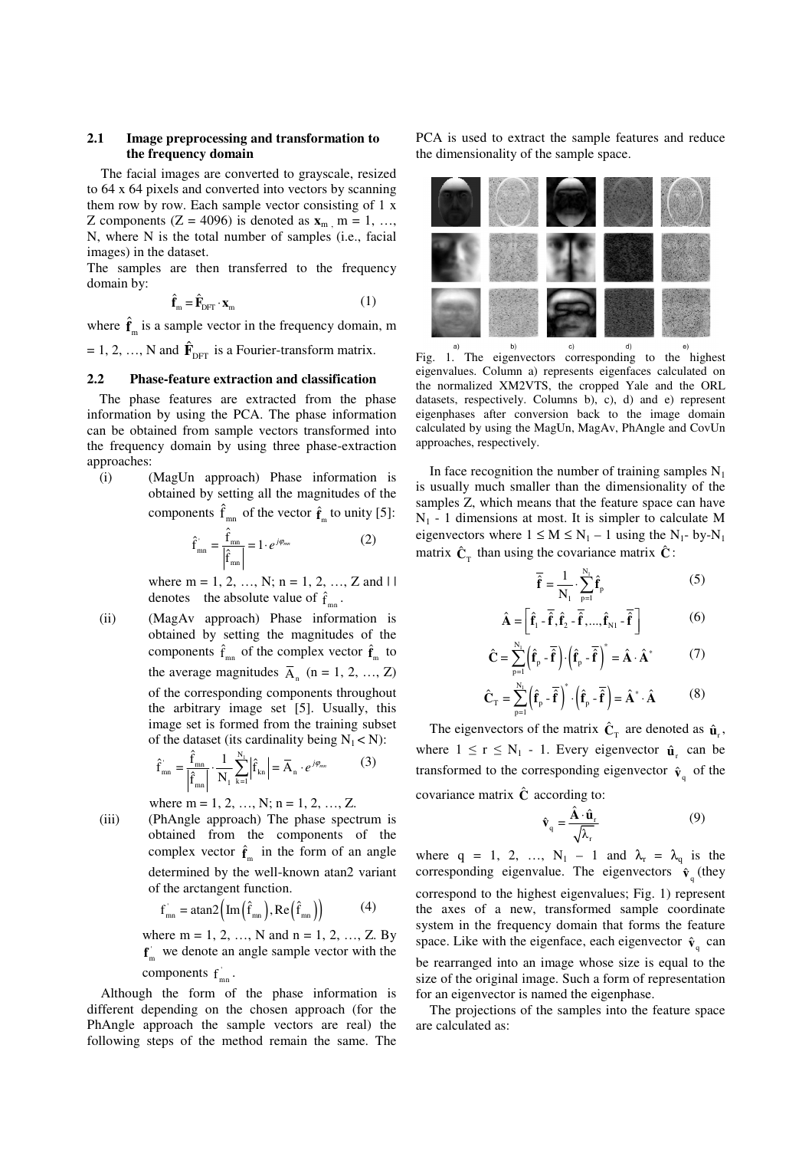## **2.1 Image preprocessing and transformation to the frequency domain**

The facial images are converted to grayscale, resized to 64 x 64 pixels and converted into vectors by scanning them row by row. Each sample vector consisting of 1 x Z components ( $Z = 4096$ ) is denoted as  $\mathbf{x}_m$ ,  $m = 1, \ldots$ N, where N is the total number of samples (i.e., facial images) in the dataset.

The samples are then transferred to the frequency domain by:

$$
\hat{\mathbf{f}}_{m} = \hat{\mathbf{F}}_{\text{DFT}} \cdot \mathbf{x}_{m} \tag{1}
$$

where  $\hat{\mathbf{f}}_{m}$  is a sample vector in the frequency domain, m

 $= 1, 2, ..., N$  and  $\hat{\mathbf{F}}_{\text{DFT}}$  is a Fourier-transform matrix.

## **2.2 Phase-feature extraction and classification**

The phase features are extracted from the phase information by using the PCA. The phase information can be obtained from sample vectors transformed into the frequency domain by using three phase-extraction approaches:

(i) (MagUn approach) Phase information is obtained by setting all the magnitudes of the components  $\hat{f}_{mn}$  of the vector  $\hat{f}_m$  to unity [5]:

$$
\hat{\mathbf{f}}_{mn} = \frac{\hat{\mathbf{f}}_{mn}}{\left|\hat{\mathbf{f}}_{mn}\right|} = 1 \cdot e^{j\varphi_{mn}} \tag{2}
$$

where  $m = 1, 2, ..., N; n = 1, 2, ..., Z$  and  $||$ denotes the absolute value of  $\hat{f}_{mn}$ .

(ii) (MagAv approach) Phase information is obtained by setting the magnitudes of the components  $\hat{f}_{mn}$  of the complex vector  $\hat{f}_{m}$  to the average magnitudes  $\overline{A}_n$  (n = 1, 2, ..., Z) of the corresponding components throughout the arbitrary image set [5]. Usually, this image set is formed from the training subset of the dataset (its cardinality being  $N_1 < N$ ):

$$
\hat{f}_{mn} = \frac{\hat{f}_{mn}}{\left|\hat{f}_{mn}\right|} \cdot \frac{1}{N_1} \sum_{k=1}^{N_1} \left|\hat{f}_{kn}\right| = \overline{A}_n \cdot e^{j\varphi_{mn}}
$$
(3)

where m = 1, 2, ..., N; n = 1, 2, ..., Z.

(iii) (PhAngle approach) The phase spectrum is obtained from the components of the complex vector  $\hat{\mathbf{f}}_{m}$  in the form of an angle determined by the well-known atan2 variant of the arctangent function.

$$
\hat{\mathbf{f}}_{mn} = \operatorname{atan2}\left(\operatorname{Im}\left(\hat{\mathbf{f}}_{mn}\right), \operatorname{Re}\left(\hat{\mathbf{f}}_{mn}\right)\right) \tag{4}
$$

where  $m = 1, 2, ..., N$  and  $n = 1, 2, ..., Z$ . By  $f_{m}^{\dagger}$  we denote an angle sample vector with the

components  $f'_{mn}$ .

Although the form of the phase information is different depending on the chosen approach (for the PhAngle approach the sample vectors are real) the following steps of the method remain the same. The

PCA is used to extract the sample features and reduce the dimensionality of the sample space.



Fig. 1. The eigenvectors corresponding to the highest eigenvalues. Column a) represents eigenfaces calculated on the normalized XM2VTS, the cropped Yale and the ORL datasets, respectively. Columns b), c), d) and e) represent eigenphases after conversion back to the image domain calculated by using the MagUn, MagAv, PhAngle and CovUn approaches, respectively.

In face recognition the number of training samples  $N_1$ is usually much smaller than the dimensionality of the samples Z, which means that the feature space can have  $N_1$  - 1 dimensions at most. It is simpler to calculate M eigenvectors where  $1 \le M \le N_1 - 1$  using the  $N_1$ - by- $N_1$ matrix  $\hat{\mathbf{C}}_T$  than using the covariance matrix  $\hat{\mathbf{C}}$ :

$$
\overline{\hat{\mathbf{f}}} = \frac{1}{N_1} \cdot \sum_{p=1}^{N_1} \hat{\mathbf{f}}_p
$$
 (5)

$$
\hat{\mathbf{A}} = \left[ \hat{\mathbf{f}}_1 - \overline{\hat{\mathbf{f}}}, \hat{\mathbf{f}}_2 - \overline{\hat{\mathbf{f}}}, ..., \hat{\mathbf{f}}_{N1} - \overline{\hat{\mathbf{f}}} \right]
$$
(6)

$$
\hat{\mathbf{C}} = \sum_{p=1}^{N_1} \left(\hat{\mathbf{f}}_p - \overline{\hat{\mathbf{f}}}\right) \cdot \left(\hat{\mathbf{f}}_p - \overline{\hat{\mathbf{f}}}\right)^* = \hat{\mathbf{A}} \cdot \hat{\mathbf{A}}^*
$$
(7)

$$
\hat{\mathbf{C}}_{\mathrm{T}} = \sum_{p=1}^{N_{\mathrm{I}}} \left( \hat{\mathbf{f}}_{p} - \overline{\hat{\mathbf{f}}} \right)^{*} \cdot \left( \hat{\mathbf{f}}_{p} - \overline{\hat{\mathbf{f}}} \right) = \hat{\mathbf{A}}^{*} \cdot \hat{\mathbf{A}} \tag{8}
$$

The eigenvectors of the matrix  $\hat{\mathbf{C}}_{\text{T}}$  are denoted as  $\hat{\mathbf{u}}_{\text{r}}$ , where  $1 \le r \le N_1 - 1$ . Every eigenvector  $\hat{\mathbf{u}}_r$  can be transformed to the corresponding eigenvector  $\hat{\mathbf{v}}_q$  of the covariance matrix  $\hat{C}$  according to:

$$
\hat{\mathbf{v}}_{q} = \frac{\hat{\mathbf{A}} \cdot \hat{\mathbf{u}}_{r}}{\sqrt{\lambda_{r}}} \tag{9}
$$

where  $q = 1, 2, ..., N_1 - 1$  and  $\lambda_r = \lambda_q$  is the corresponding eigenvalue. The eigenvectors  $\hat{\mathbf{v}}_q$  (they correspond to the highest eigenvalues; Fig. 1) represent the axes of a new, transformed sample coordinate system in the frequency domain that forms the feature space. Like with the eigenface, each eigenvector  $\hat{\mathbf{v}}_q$  can be rearranged into an image whose size is equal to the size of the original image. Such a form of representation for an eigenvector is named the eigenphase.

The projections of the samples into the feature space are calculated as: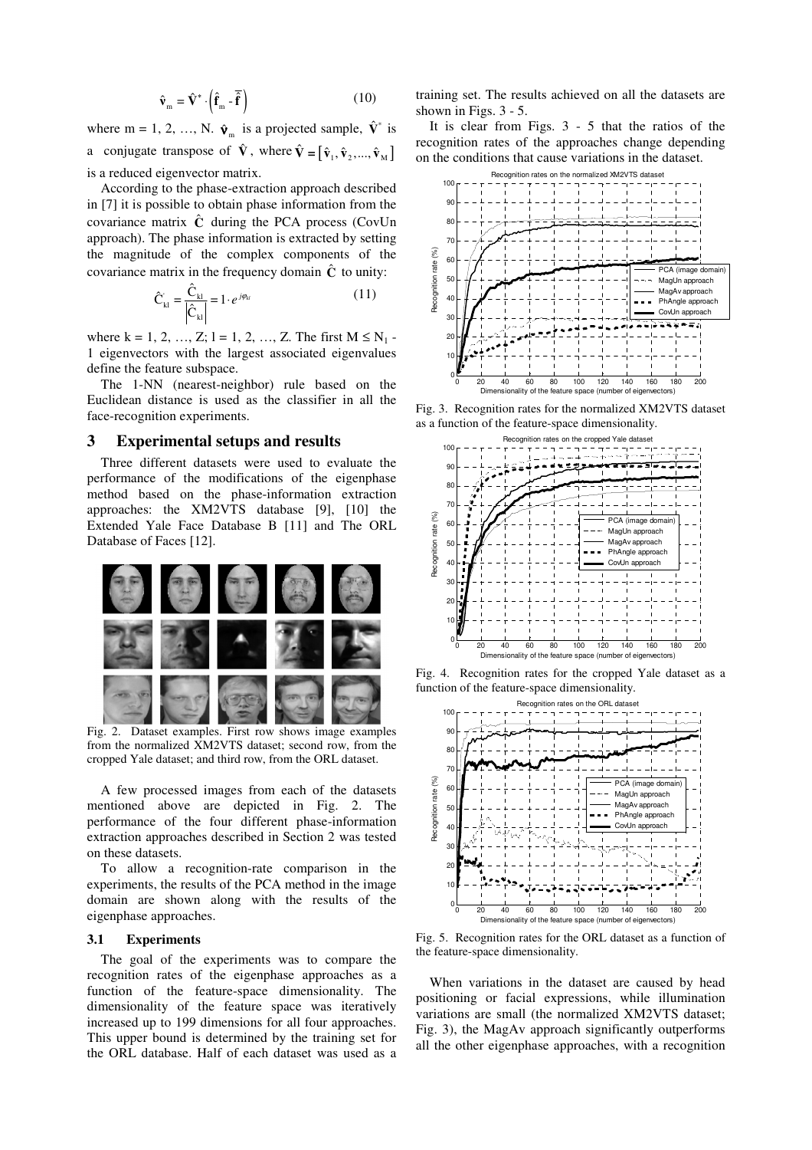$$
\hat{\mathbf{v}}_{m} = \hat{\mathbf{V}}^{*} \cdot \left( \hat{\mathbf{f}}_{m} - \overline{\hat{\mathbf{f}}} \right)
$$
 (10)

where m = 1, 2, ..., N.  $\hat{\mathbf{v}}_m$  is a projected sample,  $\hat{\mathbf{v}}^*$  is a conjugate transpose of  $\hat{\mathbf{V}}$ , where  $\hat{\mathbf{V}} = [\hat{\mathbf{v}}_1, \hat{\mathbf{v}}_2, ..., \hat{\mathbf{v}}_M]$ is a reduced eigenvector matrix.

According to the phase-extraction approach described in [7] it is possible to obtain phase information from the covariance matrix  $\hat{C}$  during the PCA process (CovUn approach). The phase information is extracted by setting the magnitude of the complex components of the covariance matrix in the frequency domain  $\hat{C}$  to unity:

$$
\hat{C}_{kl} = \frac{\hat{C}_{kl}}{\left|\hat{C}_{kl}\right|} = 1 \cdot e^{j\varphi_{kl}} \tag{11}
$$

where k = 1, 2, …, Z; 1 = 1, 2, …, Z. The first  $M \le N_1$  -1 eigenvectors with the largest associated eigenvalues define the feature subspace.

The 1-NN (nearest-neighbor) rule based on the Euclidean distance is used as the classifier in all the face-recognition experiments.

#### **3 Experimental setups and results**

Three different datasets were used to evaluate the performance of the modifications of the eigenphase method based on the phase-information extraction approaches: the XM2VTS database [9], [10] the Extended Yale Face Database B [11] and The ORL Database of Faces [12].



Fig. 2. Dataset examples. First row shows image examples from the normalized XM2VTS dataset; second row, from the cropped Yale dataset; and third row, from the ORL dataset.

A few processed images from each of the datasets mentioned above are depicted in Fig. 2. The performance of the four different phase-information extraction approaches described in Section 2 was tested on these datasets.

To allow a recognition-rate comparison in the experiments, the results of the PCA method in the image domain are shown along with the results of the eigenphase approaches.

#### **3.1 Experiments**

The goal of the experiments was to compare the recognition rates of the eigenphase approaches as a function of the feature-space dimensionality. The dimensionality of the feature space was iteratively increased up to 199 dimensions for all four approaches. This upper bound is determined by the training set for the ORL database. Half of each dataset was used as a training set. The results achieved on all the datasets are shown in Figs. 3 - 5.

It is clear from Figs. 3 - 5 that the ratios of the recognition rates of the approaches change depending on the conditions that cause variations in the dataset.



Fig. 3. Recognition rates for the normalized XM2VTS dataset as a function of the feature-space dimensionality.



Fig. 4. Recognition rates for the cropped Yale dataset as a function of the feature-space dimensionality.



Fig. 5. Recognition rates for the ORL dataset as a function of the feature-space dimensionality.

When variations in the dataset are caused by head positioning or facial expressions, while illumination variations are small (the normalized XM2VTS dataset; Fig. 3), the MagAv approach significantly outperforms all the other eigenphase approaches, with a recognition